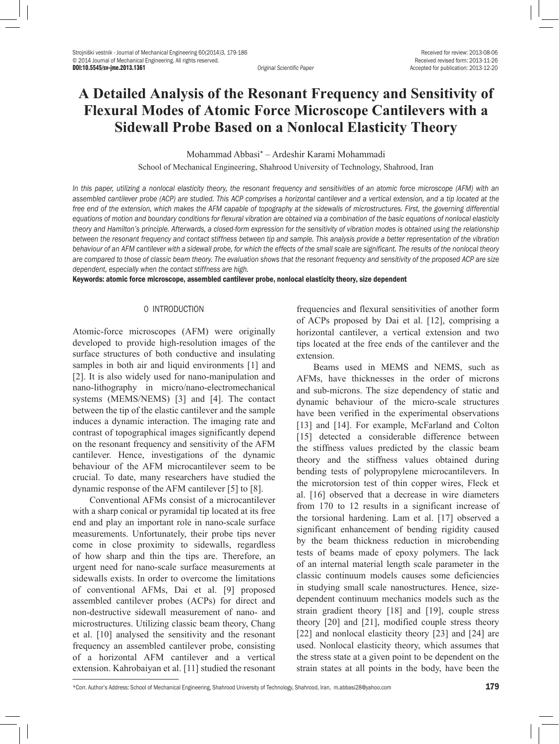DOI:10.5545/sv-jme.2013.1361 *Original Scientific Paper* Accepted for publication: 2013-12-20

# **A Detailed Analysis of the Resonant Frequency and Sensitivity of Flexural Modes of Atomic Force Microscope Cantilevers with a Sidewall Probe Based on a Nonlocal Elasticity Theory**

Mohammad Abbasi\* – Ardeshir Karami Mohammadi

School of Mechanical Engineering, Shahrood University of Technology, Shahrood, Iran

*In this paper, utilizing a nonlocal elasticity theory, the resonant frequency and sensitivities of an atomic force microscope (AFM) with an assembled cantilever probe (ACP) are studied. This ACP comprises a horizontal cantilever and a vertical extension, and a tip located at the free end of the extension, which makes the AFM capable of topography at the sidewalls of microstructures. First, the governing differential equations of motion and boundary conditions for flexural vibration are obtained via a combination of the basic equations of nonlocal elasticity theory and Hamilton's principle. Afterwards, a closed-form expression for the sensitivity of vibration modes is obtained using the relationship between the resonant frequency and contact stiffness between tip and sample. This analysis provide a better representation of the vibration behaviour of an AFM cantilever with a sidewall probe, for which the effects of the small scale are significant. The results of the nonlocal theory are compared to those of classic beam theory. The evaluation shows that the resonant frequency and sensitivity of the proposed ACP are size dependent, especially when the contact stiffness are high.*

Keywords: atomic force microscope, assembled cantilever probe, nonlocal elasticity theory, size dependent

## 0 INTRODUCTION

Atomic-force microscopes (AFM) were originally developed to provide high-resolution images of the surface structures of both conductive and insulating samples in both air and liquid environments [1] and [2]. It is also widely used for nano-manipulation and nano-lithography in micro/nano-electromechanical systems (MEMS/NEMS) [3] and [4]. The contact between the tip of the elastic cantilever and the sample induces a dynamic interaction. The imaging rate and contrast of topographical images significantly depend on the resonant frequency and sensitivity of the AFM cantilever. Hence, investigations of the dynamic behaviour of the AFM microcantilever seem to be crucial. To date, many researchers have studied the dynamic response of the AFM cantilever [5] to [8].

Conventional AFMs consist of a microcantilever with a sharp conical or pyramidal tip located at its free end and play an important role in nano-scale surface measurements. Unfortunately, their probe tips never come in close proximity to sidewalls, regardless of how sharp and thin the tips are. Therefore, an urgent need for nano-scale surface measurements at sidewalls exists. In order to overcome the limitations of conventional AFMs, Dai et al. [9] proposed assembled cantilever probes (ACPs) for direct and non-destructive sidewall measurement of nano- and microstructures. Utilizing classic beam theory, Chang et al. [10] analysed the sensitivity and the resonant frequency an assembled cantilever probe, consisting of a horizontal AFM cantilever and a vertical extension. Kahrobaiyan et al. [11] studied the resonant

frequencies and flexural sensitivities of another form of ACPs proposed by Dai et al. [12], comprising a horizontal cantilever, a vertical extension and two tips located at the free ends of the cantilever and the extension.

Beams used in MEMS and NEMS, such as AFMs, have thicknesses in the order of microns and sub-microns. The size dependency of static and dynamic behaviour of the micro-scale structures have been verified in the experimental observations [13] and [14]. For example, McFarland and Colton [15] detected a considerable difference between the stiffness values predicted by the classic beam theory and the stiffness values obtained during bending tests of polypropylene microcantilevers. In the microtorsion test of thin copper wires, Fleck et al. [16] observed that a decrease in wire diameters from 170 to 12 results in a significant increase of the torsional hardening. Lam et al. [17] observed a significant enhancement of bending rigidity caused by the beam thickness reduction in microbending tests of beams made of epoxy polymers. The lack of an internal material length scale parameter in the classic continuum models causes some deficiencies in studying small scale nanostructures. Hence, sizedependent continuum mechanics models such as the strain gradient theory [18] and [19], couple stress theory [20] and [21], modified couple stress theory [22] and nonlocal elasticity theory [23] and [24] are used. Nonlocal elasticity theory, which assumes that the stress state at a given point to be dependent on the strain states at all points in the body, have been the

<sup>\*</sup>Corr. Author's Address: School of Mechanical Engineering, Shahrood University of Technology, Shahrood, Iran, m.abbasi28@yahoo.com 179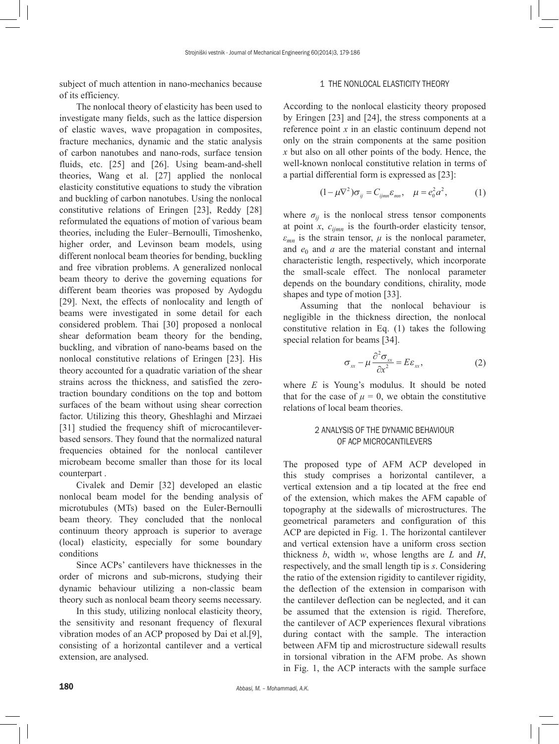subject of much attention in nano-mechanics because of its efficiency.

The nonlocal theory of elasticity has been used to investigate many fields, such as the lattice dispersion of elastic waves, wave propagation in composites, fracture mechanics, dynamic and the static analysis of carbon nanotubes and nano-rods, surface tension fluids, etc. [25] and [26]. Using beam-and-shell theories, Wang et al. [27] applied the nonlocal elasticity constitutive equations to study the vibration and buckling of carbon nanotubes. Using the nonlocal constitutive relations of Eringen [23], Reddy [28] reformulated the equations of motion of various beam theories, including the Euler–Bernoulli, Timoshenko, higher order, and Levinson beam models, using different nonlocal beam theories for bending, buckling and free vibration problems. A generalized nonlocal beam theory to derive the governing equations for different beam theories was proposed by Aydogdu [29]. Next, the effects of nonlocality and length of beams were investigated in some detail for each considered problem. Thai [30] proposed a nonlocal shear deformation beam theory for the bending, buckling, and vibration of nano-beams based on the nonlocal constitutive relations of Eringen [23]. His theory accounted for a quadratic variation of the shear strains across the thickness, and satisfied the zerotraction boundary conditions on the top and bottom surfaces of the beam without using shear correction factor. Utilizing this theory, Gheshlaghi and Mirzaei [31] studied the frequency shift of microcantileverbased sensors. They found that the normalized natural frequencies obtained for the nonlocal cantilever microbeam become smaller than those for its local counterpart .

Civalek and Demir [32] developed an elastic nonlocal beam model for the bending analysis of microtubules (MTs) based on the Euler-Bernoulli beam theory. They concluded that the nonlocal continuum theory approach is superior to average (local) elasticity, especially for some boundary conditions

Since ACPs' cantilevers have thicknesses in the order of microns and sub-microns, studying their dynamic behaviour utilizing a non-classic beam theory such as nonlocal beam theory seems necessary.

In this study, utilizing nonlocal elasticity theory, the sensitivity and resonant frequency of flexural vibration modes of an ACP proposed by Dai et al.[9], consisting of a horizontal cantilever and a vertical extension, are analysed.

### 1 THE NONLOCAL ELASTICITY THEORY

According to the nonlocal elasticity theory proposed by Eringen [23] and [24], the stress components at a reference point *x* in an elastic continuum depend not only on the strain components at the same position *x* but also on all other points of the body. Hence, the well-known nonlocal constitutive relation in terms of a partial differential form is expressed as [23]:

$$
(1 - \mu \nabla^2) \sigma_{ij} = C_{ijmn} \varepsilon_{mn}, \quad \mu = e_0^2 a^2, \tag{1}
$$

where  $\sigma_{ij}$  is the nonlocal stress tensor components at point *x*, *cijmn* is the fourth-order elasticity tensor,  $\varepsilon_{mn}$  is the strain tensor,  $\mu$  is the nonlocal parameter, and  $e_0$  and  $a$  are the material constant and internal characteristic length, respectively, which incorporate the small-scale effect. The nonlocal parameter depends on the boundary conditions, chirality, mode shapes and type of motion [33].

Assuming that the nonlocal behaviour is negligible in the thickness direction, the nonlocal constitutive relation in Eq. (1) takes the following special relation for beams [34].

$$
\sigma_{xx} - \mu \frac{\partial^2 \sigma_{xx}}{\partial x^2} = E \varepsilon_{xx},
$$
 (2)

where  $E$  is Young's modulus. It should be noted that for the case of  $\mu = 0$ , we obtain the constitutive relations of local beam theories.

## 2 ANALYSIS OF THE DYNAMIC BEHAVIOUR OF ACP MICROCANTILEVERS

The proposed type of AFM ACP developed in this study comprises a horizontal cantilever, a vertical extension and a tip located at the free end of the extension, which makes the AFM capable of topography at the sidewalls of microstructures. The geometrical parameters and configuration of this ACP are depicted in Fig. 1. The horizontal cantilever and vertical extension have a uniform cross section thickness *b*, width *w*, whose lengths are *L* and *H*, respectively, and the small length tip is *s*. Considering the ratio of the extension rigidity to cantilever rigidity, the deflection of the extension in comparison with the cantilever deflection can be neglected, and it can be assumed that the extension is rigid. Therefore, the cantilever of ACP experiences flexural vibrations during contact with the sample. The interaction between AFM tip and microstructure sidewall results in torsional vibration in the AFM probe. As shown in Fig. 1, the ACP interacts with the sample surface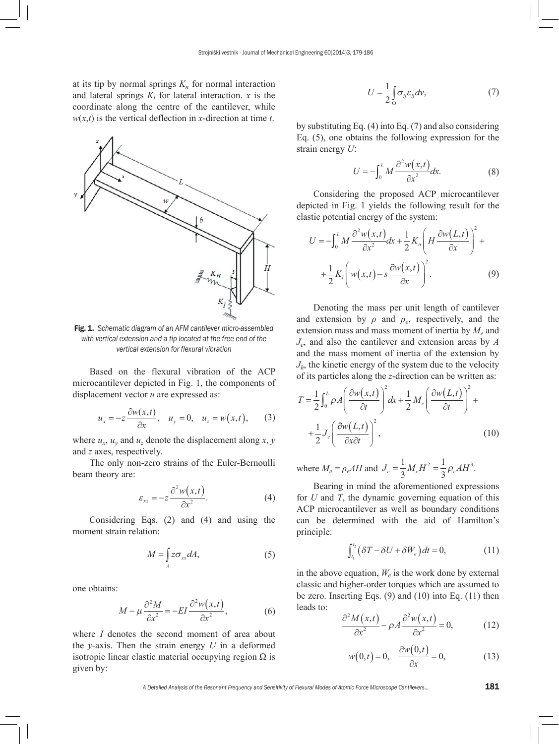at its tip by normal springs  $K_n$  for normal interaction and lateral springs  $K_l$  for lateral interaction. *x* is the coordinate along the centre of the cantilever, while  $w(x,t)$  is the vertical deflection in *x*-direction at time *t*.



Fig. 1. *Schematic diagram of an AFM cantilever micro-assembled with vertical extension and a tip located at the free end of the vertical extension for flexural vibration*

Based on the flexural vibration of the ACP microcantilever depicted in Fig. 1, the components of displacement vector *u* are expressed as:

$$
u_x = -z \frac{\partial w(x,t)}{\partial x}, \quad u_y = 0, \quad u_z = w(x,t), \tag{3}
$$

where  $u_x$ ,  $u_y$  and  $u_z$  denote the displacement along *x*, *y* and *z* axes, respectively.

The only non-zero strains of the Euler-Bernoulli beam theory are:

$$
\varepsilon_{xx} = -z \frac{\partial^2 w(x,t)}{\partial x^2}.
$$
 (4)

Considering Eqs. (2) and (4) and using the moment strain relation:

$$
M = \int_{A} z \sigma_{xx} dA, \tag{5}
$$

one obtains:

$$
M - \mu \frac{\partial^2 M}{\partial x^2} = -EI \frac{\partial^2 w(x, t)}{\partial x^2},
$$
 (6)

where *I* denotes the second moment of area about the *y*-axis. Then the strain energy *U* in a deformed isotropic linear elastic material occupying region  $Ω$  is given by:

$$
U = \frac{1}{2} \int_{\Omega} \sigma_{ij} \varepsilon_{ij} dv,
$$
 (7)

by substituting Eq. (4) into Eq. (7) and also considering Eq. (5), one obtains the following expression for the strain energy *U*:

$$
U = -\int_0^L M \frac{\partial^2 w(x,t)}{\partial x^2} dx.
$$
 (8)

Considering the proposed ACP microcantilever depicted in Fig. 1 yields the following result for the elastic potential energy of the system:

$$
U = -\int_0^L M \frac{\partial^2 w(x,t)}{\partial x^2} dx + \frac{1}{2} K_n \left( H \frac{\partial w(L,t)}{\partial x} \right)^2 +
$$
  
+ 
$$
\frac{1}{2} K_l \left( w(x,t) - s \frac{\partial w(x,t)}{\partial x} \right)^2.
$$
 (9)

Denoting the mass per unit length of cantilever and extension by  $\rho$  and  $\rho_e$ , respectively, and the extension mass and mass moment of inertia by  $M_e$  and *Je*, and also the cantilever and extension areas by *A* and the mass moment of inertia of the extension by  $J<sub>h</sub>$ , the kinetic energy of the system due to the velocity of its particles along the *z*-direction can be written as:

$$
T = \frac{1}{2} \int_0^L \rho A \left( \frac{\partial w(x,t)}{\partial t} \right)^2 dx + \frac{1}{2} M_e \left( \frac{\partial w(L,t)}{\partial t} \right)^2 +
$$
  
+ 
$$
\frac{1}{2} J_e \left( \frac{\partial w(L,t)}{\partial x \partial t} \right)^2,
$$
 (10)

where  $M_e = \rho_e A H$  and  $J_e = \frac{1}{3} M_e H^2 = \frac{1}{3} \rho_e A H$ 1  $^2 = \frac{1}{3} \rho_e A H^3.$ 

Bearing in mind the aforementioned expressions for *U* and *T*, the dynamic governing equation of this ACP microcantilever as well as boundary conditions can be determined with the aid of Hamilton's principle:

$$
\int_{t_1}^{t_2} \left( \delta T - \delta U + \delta W_e \right) dt = 0, \tag{11}
$$

in the above equation,  $W_e$  is the work done by external classic and higher-order torques which are assumed to be zero. Inserting Eqs. (9) and (10) into Eq. (11) then leads to:

$$
\frac{\partial^2 M(x,t)}{\partial x^2} - \rho A \frac{\partial^2 w(x,t)}{\partial x^2} = 0,
$$
 (12)

$$
w(0,t) = 0, \quad \frac{\partial w(0,t)}{\partial x} = 0,
$$
 (13)

*A Detailed Analysis of the Resonant Frequency and Sensitivity of Flexural Modes of Atomic Force Microscope Cantilevers...* 181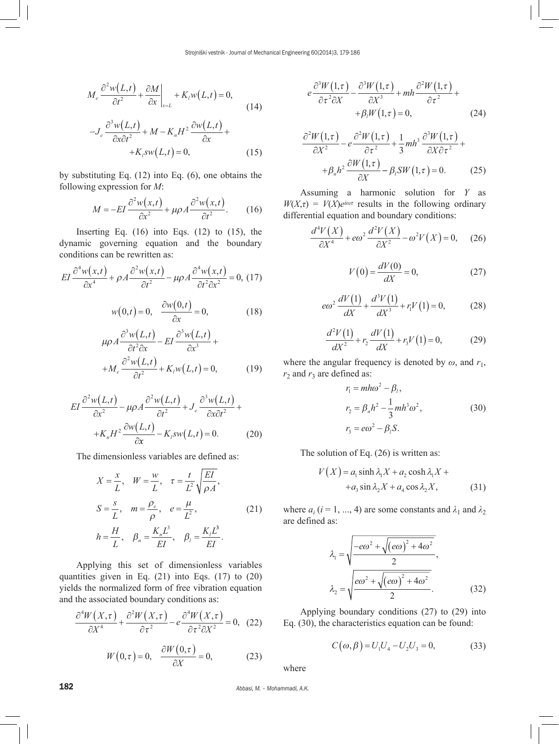$$
M_e \frac{\partial^2 w(L,t)}{\partial t^2} + \frac{\partial M}{\partial x}\bigg|_{x=L} + K_l w(L,t) = 0,
$$
\n(14)

$$
-J_e \frac{\partial^3 w(L,t)}{\partial x \partial t^2} + M - K_n H^2 \frac{\partial w(L,t)}{\partial x} ++K_f s w(L,t) = 0,
$$
 (15)

by substituting Eq. (12) into Eq. (6), one obtains the following expression for *M*:

$$
M = -EI \frac{\partial^2 w(x,t)}{\partial x^2} + \mu \rho A \frac{\partial^2 w(x,t)}{\partial t^2}.
$$
 (16)

Inserting Eq.  $(16)$  into Eqs.  $(12)$  to  $(15)$ , the dynamic governing equation and the boundary conditions can be rewritten as:

$$
EI \frac{\partial^4 w(x,t)}{\partial x^4} + \rho A \frac{\partial^2 w(x,t)}{\partial t^2} - \mu \rho A \frac{\partial^4 w(x,t)}{\partial t^2 \partial x^2} = 0, (17)
$$

$$
w(0,t) = 0, \quad \frac{\partial w(0,t)}{\partial t^2} = 0,
$$
 (18)

$$
w(0,t) = 0, \quad \frac{\partial w(t, t)}{\partial x} = 0,
$$
\n
$$
\mu \rho A \frac{\partial^3 w(L, t)}{\partial t^2 \partial x} - EI \frac{\partial^3 w(L, t)}{\partial x^3} + C
$$
\n(18)

$$
+M_e \frac{\partial^2 w(L,t)}{\partial t^2} + K_l w(L,t) = 0,
$$
 (19)

$$
EI \frac{\partial^2 w(L,t)}{\partial x^2} - \mu \rho A \frac{\partial^2 w(L,t)}{\partial t^2} + J_e \frac{\partial^3 w(L,t)}{\partial x \partial t^2} +
$$
  
+
$$
K_n H^2 \frac{\partial w(L,t)}{\partial x} - K_l s w(L,t) = 0.
$$
 (20)

The dimensionless variables are defined as:

$$
X = \frac{x}{L}, \quad W = \frac{w}{L}, \quad \tau = \frac{t}{L^2} \sqrt{\frac{EI}{\rho A}},
$$
  
\n
$$
S = \frac{s}{L}, \quad m = \frac{\rho_e}{\rho}, \quad e = \frac{\mu}{L^2},
$$
  
\n
$$
h = \frac{H}{L}, \quad \beta_n = \frac{K_n L^3}{EI}, \quad \beta_l = \frac{K_l L^3}{EI}.
$$
  
\n(21)

Applying this set of dimensionless variables quantities given in Eq. (21) into Eqs. (17) to (20) yields the normalized form of free vibration equation and the associated boundary conditions as:

$$
\frac{\partial^4 W(X,\tau)}{\partial X^4} + \frac{\partial^2 W(X,\tau)}{\partial \tau^2} - e \frac{\partial^4 W(X,\tau)}{\partial \tau^2 \partial X^2} = 0, \quad (22)
$$

$$
W(0,\tau) = 0, \quad \frac{\partial W(0,\tau)}{\partial X} = 0, \tag{23}
$$

$$
e^{\frac{\partial^3 W(1,\tau)}{\partial \tau^2 \partial X} - \frac{\partial^3 W(1,\tau)}{\partial X^3} + mh \frac{\partial^2 W(1,\tau)}{\partial \tau^2} + \n+ \beta_i W(1,\tau) = 0,
$$
\n(24)

$$
\frac{\partial^2 W(1,\tau)}{\partial X^2} - e \frac{\partial^2 W(1,\tau)}{\partial \tau^2} + \frac{1}{3} m h^3 \frac{\partial^3 W(1,\tau)}{\partial X \partial \tau^2} +
$$

$$
+ \beta_n h^2 \frac{\partial W(1,\tau)}{\partial X} - \beta_l SW(1,\tau) = 0. \tag{25}
$$

Assuming a harmonic solution for *Y* as  $W(X,\tau) = V(X)e^{i\omega\tau}$  results in the following ordinary differential equation and boundary conditions:

$$
\frac{d^4V(X)}{\partial X^4} + \epsilon \omega^2 \frac{d^2V(X)}{\partial X^2} - \omega^2 V(X) = 0, \quad (26)
$$

$$
V(0) = \frac{dV(0)}{dX} = 0,
$$
 (27)

$$
e\omega^2 \frac{dV(1)}{dX} + \frac{d^3V(1)}{dX^3} + r_1V(1) = 0,
$$
 (28)

$$
\frac{d^2V(1)}{dX^2} + r_2\frac{dV(1)}{dX} + r_3V(1) = 0,\t(29)
$$

where the angular frequency is denoted by  $\omega$ , and  $r_1$ ,  $r_2$  and  $r_3$  are defined as:

$$
r_1 = mh\omega^2 - \beta_l,
$$
  
\n
$$
r_2 = \beta_n h^2 - \frac{1}{3} mh^3 \omega^2,
$$
  
\n
$$
r_3 = e\omega^2 - \beta_l S.
$$
\n(30)

The solution of Eq. (26) is written as:

$$
V(X) = a_1 \sinh \lambda_1 X + a_2 \cosh \lambda_1 X ++ a_3 \sin \lambda_2 X + a_4 \cos \lambda_2 X,
$$
 (31)

where  $a_i$  ( $i = 1, ..., 4$ ) are some constants and  $\lambda_1$  and  $\lambda_2$ are defined as:

$$
\lambda_1 = \sqrt{\frac{-e\omega^2 + \sqrt{(e\omega)^2 + 4\omega^2}}{2}},
$$
\n
$$
\lambda_2 = \sqrt{\frac{e\omega^2 + \sqrt{(e\omega)^2 + 4\omega^2}}{2}}.
$$
\n(32)

Applying boundary conditions (27) to (29) into Eq. (30), the characteristics equation can be found:

$$
C(\omega, \beta) = U_1 U_4 - U_2 U_3 = 0,\tag{33}
$$

where

182 *Abbasi, M. – Mohammadi, A.K.*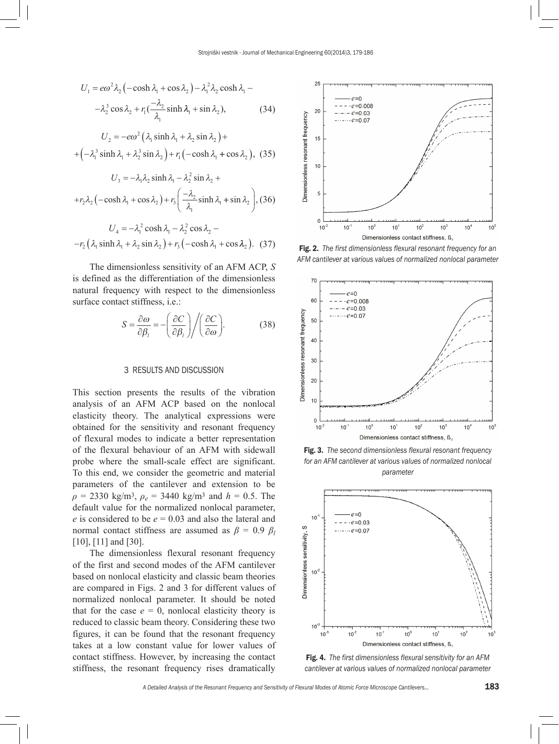$$
U_1 = e\omega^2 \lambda_2 \left( -\cosh \lambda_1 + \cos \lambda_2 \right) - \lambda_1^2 \lambda_2 \cosh \lambda_1 -
$$

$$
- \lambda_2^3 \cos \lambda_2 + r_1 \left( \frac{-\lambda_2}{\lambda_1} \sinh \lambda_1 + \sin \lambda_2 \right), \tag{34}
$$

$$
U_2 = -e\omega^2 \left(\lambda_1 \sinh \lambda_1 + \lambda_2 \sin \lambda_2\right) +
$$
  
+  $\left(-\lambda_1^3 \sinh \lambda_1 + \lambda_2^3 \sin \lambda_2\right) + r_1 \left(-\cosh \lambda_1 + \cos \lambda_2\right), (35)$ 

$$
U_3 = -\lambda_1 \lambda_2 \sinh \lambda_1 - \lambda_2^2 \sin \lambda_2 +
$$
  
+ $r_2 \lambda_2$  (-cosh  $\lambda_1$  + cos  $\lambda_2$ ) +  $r_3$   $\bigg( \frac{-\lambda_2}{\lambda_1} \sinh \lambda_1 + \sin \lambda_2 \bigg)$ , (36)

$$
U_4 = -\lambda_1^2 \cosh \lambda_1 - \lambda_2^2 \cos \lambda_2 -
$$
  
-
$$
r_2 (\lambda_1 \sinh \lambda_1 + \lambda_2 \sin \lambda_2) + r_3 (-\cosh \lambda_1 + \cos \lambda_2).
$$
 (37)

The dimensionless sensitivity of an AFM ACP, *S* is defined as the differentiation of the dimensionless natural frequency with respect to the dimensionless surface contact stiffness, i.e.:

$$
S = \frac{\partial \omega}{\partial \beta_i} = -\left(\frac{\partial C}{\partial \beta_i}\right) / \left(\frac{\partial C}{\partial \omega}\right).
$$
 (38)

## 3 RESULTS AND DISCUSSION

This section presents the results of the vibration analysis of an AFM ACP based on the nonlocal elasticity theory. The analytical expressions were obtained for the sensitivity and resonant frequency of flexural modes to indicate a better representation of the flexural behaviour of an AFM with sidewall probe where the small-scale effect are significant. To this end, we consider the geometric and material parameters of the cantilever and extension to be  $\rho = 2330 \text{ kg/m}^3$ ,  $\rho_e = 3440 \text{ kg/m}^3$  and  $h = 0.5$ . The default value for the normalized nonlocal parameter, *e* is considered to be *e* = 0.03 and also the lateral and normal contact stiffness are assumed as  $\beta = 0.9 \beta_l$ [10], [11] and [30].

The dimensionless flexural resonant frequency of the first and second modes of the AFM cantilever based on nonlocal elasticity and classic beam theories are compared in Figs. 2 and 3 for different values of normalized nonlocal parameter. It should be noted that for the case  $e = 0$ , nonlocal elasticity theory is reduced to classic beam theory. Considering these two figures, it can be found that the resonant frequency takes at a low constant value for lower values of contact stiffness. However, by increasing the contact stiffness, the resonant frequency rises dramatically



Fig. 2. *The first dimensionless flexural resonant frequency for an AFM cantilever at various values of normalized nonlocal parameter*



Fig. 3. *The second dimensionless flexural resonant frequency for an AFM cantilever at various values of normalized nonlocal parameter*



Fig. 4. *The first dimensionless flexural sensitivity for an AFM cantilever at various values of normalized nonlocal parameter*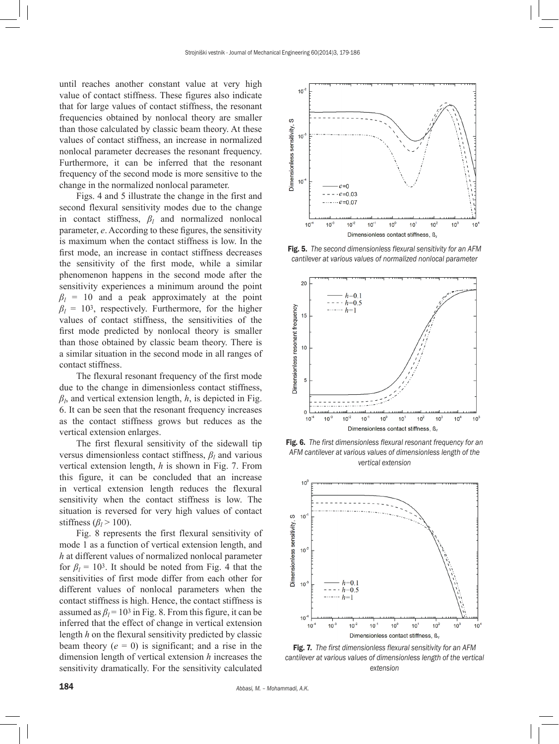until reaches another constant value at very high value of contact stiffness. These figures also indicate that for large values of contact stiffness, the resonant frequencies obtained by nonlocal theory are smaller than those calculated by classic beam theory. At these values of contact stiffness, an increase in normalized nonlocal parameter decreases the resonant frequency. Furthermore, it can be inferred that the resonant frequency of the second mode is more sensitive to the change in the normalized nonlocal parameter.

Figs. 4 and 5 illustrate the change in the first and second flexural sensitivity modes due to the change in contact stiffness,  $\beta_l$  and normalized nonlocal parameter, *e*. According to these figures, the sensitivity is maximum when the contact stiffness is low. In the first mode, an increase in contact stiffness decreases the sensitivity of the first mode, while a similar phenomenon happens in the second mode after the sensitivity experiences a minimum around the point  $\beta_l$  = 10 and a peak approximately at the point  $\beta_l = 10^3$ , respectively. Furthermore, for the higher values of contact stiffness, the sensitivities of the first mode predicted by nonlocal theory is smaller than those obtained by classic beam theory. There is a similar situation in the second mode in all ranges of contact stiffness.

The flexural resonant frequency of the first mode due to the change in dimensionless contact stiffness,  $\beta_l$ , and vertical extension length, *h*, is depicted in Fig. 6. It can be seen that the resonant frequency increases as the contact stiffness grows but reduces as the vertical extension enlarges.

The first flexural sensitivity of the sidewall tip versus dimensionless contact stiffness, *β<sup>l</sup>* and various vertical extension length, *h* is shown in Fig. 7. From this figure, it can be concluded that an increase in vertical extension length reduces the flexural sensitivity when the contact stiffness is low. The situation is reversed for very high values of contact stiffness ( $\beta_l$  > 100).

Fig. 8 represents the first flexural sensitivity of mode 1 as a function of vertical extension length, and *h* at different values of normalized nonlocal parameter for  $\beta_l = 10^3$ . It should be noted from Fig. 4 that the sensitivities of first mode differ from each other for different values of nonlocal parameters when the contact stiffness is high. Hence, the contact stiffness is assumed as  $\beta_l$  = 10<sup>3</sup> in Fig. 8. From this figure, it can be inferred that the effect of change in vertical extension length *h* on the flexural sensitivity predicted by classic beam theory  $(e = 0)$  is significant; and a rise in the dimension length of vertical extension *h* increases the sensitivity dramatically. For the sensitivity calculated



Fig. 5. *The second dimensionless flexural sensitivity for an AFM cantilever at various values of normalized nonlocal parameter*



Fig. 6. *The first dimensionless flexural resonant frequency for an AFM cantilever at various values of dimensionless length of the vertical extension*



Fig. 7. *The first dimensionless flexural sensitivity for an AFM cantilever at various values of dimensionless length of the vertical extension*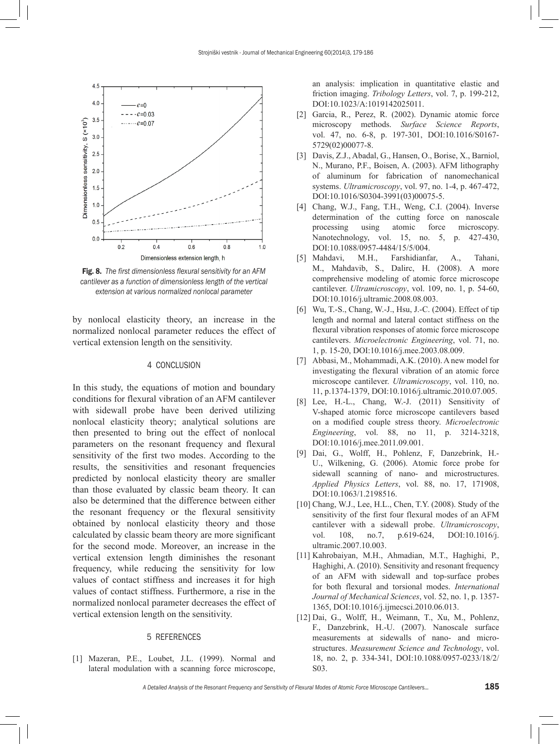

Fig. 8. *The first dimensionless flexural sensitivity for an AFM cantilever as a function of dimensionless length of the vertical extension at various normalized nonlocal parameter*

by nonlocal elasticity theory, an increase in the normalized nonlocal parameter reduces the effect of vertical extension length on the sensitivity.

## 4 CONCLUSION

In this study, the equations of motion and boundary conditions for flexural vibration of an AFM cantilever with sidewall probe have been derived utilizing nonlocal elasticity theory; analytical solutions are then presented to bring out the effect of nonlocal parameters on the resonant frequency and flexural sensitivity of the first two modes. According to the results, the sensitivities and resonant frequencies predicted by nonlocal elasticity theory are smaller than those evaluated by classic beam theory. It can also be determined that the difference between either the resonant frequency or the flexural sensitivity obtained by nonlocal elasticity theory and those calculated by classic beam theory are more significant for the second mode. Moreover, an increase in the vertical extension length diminishes the resonant frequency, while reducing the sensitivity for low values of contact stiffness and increases it for high values of contact stiffness. Furthermore, a rise in the normalized nonlocal parameter decreases the effect of vertical extension length on the sensitivity.

### 5 REFERENCES

[1] Mazeran, P.E., Loubet, J.L. (1999). Normal and lateral modulation with a scanning force microscope, an analysis: implication in quantitative elastic and friction imaging. *Tribology Letters*, vol. 7, p. 199-212, [DOI:10.1023/A:1019142025011.](http://dx.doi.org/10.1023/A:1019142025011)

- [2] Garcia, R., Perez, R. (2002). Dynamic atomic force microscopy methods. *Surface Science Reports*, vol. 47, no. 6-8, p. 197-301, [DOI:10.1016/S0167-](http://dx.doi.org/10.1016/S0167-5729(02)00077-8) [5729\(02\)00077-8](http://dx.doi.org/10.1016/S0167-5729(02)00077-8).
- [3] Davis, Z.J., Abadal, G., Hansen, O., Borise, X., Barniol, N., Murano, P.F., Boisen, A. (2003). AFM lithography of aluminum for fabrication of nanomechanical systems. *Ultramicroscopy*, vol. 97, no. 1-4, p. 467-472, [DOI:10.1016/S0304-3991\(03\)00075-5](http://dx.doi.org/10.1016/S0304-3991(03)00075-5).
- [4] Chang, W.J., Fang, T.H., Weng, C.I. (2004). Inverse determination of the cutting force on nanoscale processing using atomic force microscopy. Nanotechnology, vol. 15, no. 5, p. 427-430, [DOI:10.1088/0957-4484/15/5/004.](http://dx.doi.org/10.1088/0957-4484/15/5/004)
- [5] Mahdavi, M.H., Farshidianfar, A., Tahani, M., Mahdavib, S., Dalirc, H. (2008). A more comprehensive modeling of atomic force microscope cantilever. *Ultramicroscopy*, vol. 109, no. 1, p. 54-60, [DOI:10.1016/j.ultramic.2008.08.003](http://dx.doi.org/10.1016/j.ultramic.2008.08.003).
- [6] Wu, T.-S., Chang, W.-J., Hsu, J.-C. (2004). Effect of tip length and normal and lateral contact stiffness on the flexural vibration responses of atomic force microscope cantilevers. *Microelectronic Engineering*, vol. 71, no. 1, p. 15-20, [DOI:10.1016/j.mee.2003.08.009.](http://dx.doi.org/10.1016/j.mee.2003.08.009)
- [7] Abbasi, M., Mohammadi, A.K. (2010). A new model for investigating the flexural vibration of an atomic force microscope cantilever. *Ultramicroscopy*, vol. 110, no. 11, p.1374-1379, [DOI:10.1016/j.ultramic.2010.07.005.](http://dx.doi.org/10.1016/j.ultramic.2010.07.005)
- [8] Lee, H.-L., Chang, W.-J. (2011) Sensitivity of V-shaped atomic force microscope cantilevers based on a modified couple stress theory. *Microelectronic Engineering*, vol. 88, no 11, p. 3214-3218, [DOI:10.1016/j.mee.2011.09.001](http://dx.doi.org/10.1016/j.mee.2011.09.001).
- [9] Dai, G., Wolff, H., Pohlenz, F, Danzebrink, H.- U., Wilkening, G. (2006). Atomic force probe for sidewall scanning of nano- and microstructures. *Applied Physics Letters*, vol. 88, no. 17, 171908, [DOI:10.1063/1.2198516.](http://dx.doi.org/10.1063/1.2198516)
- [10] Chang, W.J., Lee, H.L., Chen, T.Y. (2008). Study of the sensitivity of the first four flexural modes of an AFM cantilever with a sidewall probe. *Ultramicroscopy*, vol. 108, no.7, p.619-624, [DOI:10.1016/j.](http://dx.doi.org/10.1016/j.ultramic.2007.10.003) [ultramic.2007.10.003.](http://dx.doi.org/10.1016/j.ultramic.2007.10.003)
- [11] Kahrobaiyan, M.H., Ahmadian, M.T., Haghighi, P., Haghighi, A. (2010). Sensitivity and resonant frequency of an AFM with sidewall and top-surface probes for both flexural and torsional modes. *International Journal of Mechanical Sciences*, vol. 52, no. 1, p. 1357- 1365, [DOI:10.1016/j.ijmecsci.2010.06.013.](http://dx.doi.org/10.1016/j.ijmecsci.2010.06.013)
- [12] Dai, G., Wolff, H., Weimann, T., Xu, M., Pohlenz, F., Danzebrink, H.-U. (2007). Nanoscale surface measurements at sidewalls of nano- and microstructures. *Measurement Science and Technology*, vol. 18, no. 2, p. 334-341, [DOI:10.1088/0957-0233/18/2/](http://dx.doi.org/10.1088/0957-0233/18/2/S03) [S03](http://dx.doi.org/10.1088/0957-0233/18/2/S03).